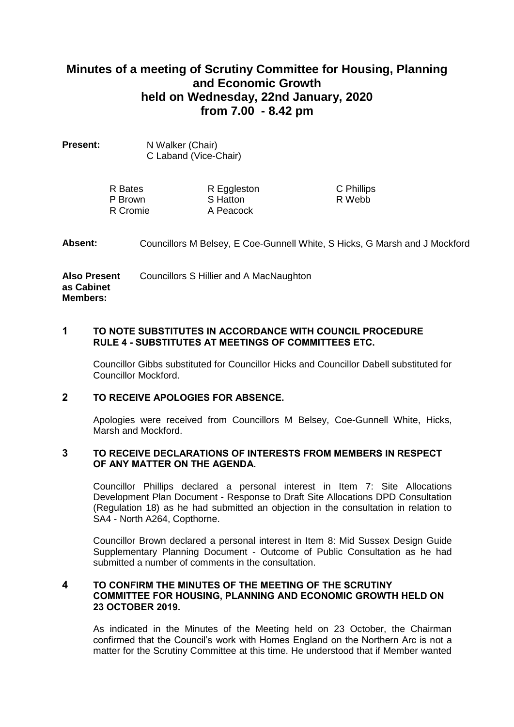# **Minutes of a meeting of Scrutiny Committee for Housing, Planning and Economic Growth held on Wednesday, 22nd January, 2020 from 7.00 - 8.42 pm**

| Present: | N Walker (Chair)      |
|----------|-----------------------|
|          | C Laband (Vice-Chair) |

| R Bates  | R Eggleston | C Phillips |
|----------|-------------|------------|
| P Brown  | S Hatton    | R Webb     |
| R Cromie | A Peacock   |            |

## **Absent:** Councillors M Belsey, E Coe-Gunnell White, S Hicks, G Marsh and J Mockford

**Also Present as Cabinet Members:** Councillors S Hillier and A MacNaughton

## **1 TO NOTE SUBSTITUTES IN ACCORDANCE WITH COUNCIL PROCEDURE RULE 4 - SUBSTITUTES AT MEETINGS OF COMMITTEES ETC.**

Councillor Gibbs substituted for Councillor Hicks and Councillor Dabell substituted for Councillor Mockford.

# **2 TO RECEIVE APOLOGIES FOR ABSENCE.**

Apologies were received from Councillors M Belsey, Coe-Gunnell White, Hicks, Marsh and Mockford.

# **3 TO RECEIVE DECLARATIONS OF INTERESTS FROM MEMBERS IN RESPECT OF ANY MATTER ON THE AGENDA.**

Councillor Phillips declared a personal interest in Item 7: Site Allocations Development Plan Document - Response to Draft Site Allocations DPD Consultation (Regulation 18) as he had submitted an objection in the consultation in relation to SA4 - North A264, Copthorne.

Councillor Brown declared a personal interest in Item 8: Mid Sussex Design Guide Supplementary Planning Document - Outcome of Public Consultation as he had submitted a number of comments in the consultation.

# **4 TO CONFIRM THE MINUTES OF THE MEETING OF THE SCRUTINY COMMITTEE FOR HOUSING, PLANNING AND ECONOMIC GROWTH HELD ON 23 OCTOBER 2019.**

As indicated in the Minutes of the Meeting held on 23 October, the Chairman confirmed that the Council's work with Homes England on the Northern Arc is not a matter for the Scrutiny Committee at this time. He understood that if Member wanted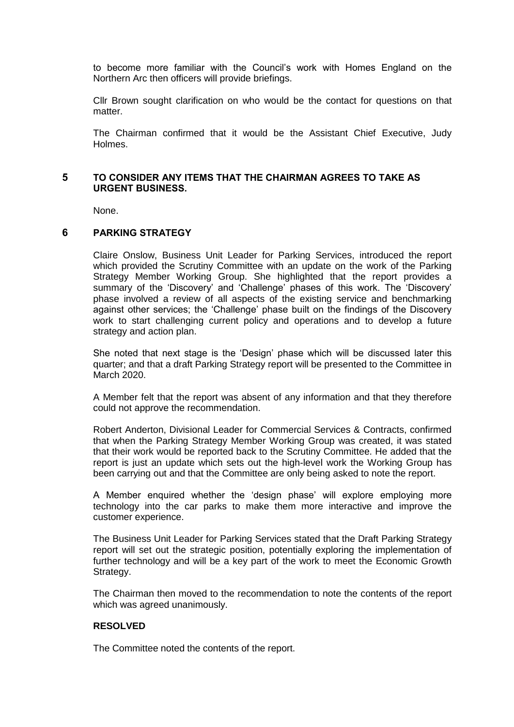to become more familiar with the Council's work with Homes England on the Northern Arc then officers will provide briefings.

Cllr Brown sought clarification on who would be the contact for questions on that matter.

The Chairman confirmed that it would be the Assistant Chief Executive, Judy Holmes.

## **5 TO CONSIDER ANY ITEMS THAT THE CHAIRMAN AGREES TO TAKE AS URGENT BUSINESS.**

None.

## **6 PARKING STRATEGY**

Claire Onslow, Business Unit Leader for Parking Services, introduced the report which provided the Scrutiny Committee with an update on the work of the Parking Strategy Member Working Group. She highlighted that the report provides a summary of the 'Discovery' and 'Challenge' phases of this work. The 'Discovery' phase involved a review of all aspects of the existing service and benchmarking against other services; the 'Challenge' phase built on the findings of the Discovery work to start challenging current policy and operations and to develop a future strategy and action plan.

She noted that next stage is the 'Design' phase which will be discussed later this quarter; and that a draft Parking Strategy report will be presented to the Committee in March 2020.

A Member felt that the report was absent of any information and that they therefore could not approve the recommendation.

Robert Anderton, Divisional Leader for Commercial Services & Contracts, confirmed that when the Parking Strategy Member Working Group was created, it was stated that their work would be reported back to the Scrutiny Committee. He added that the report is just an update which sets out the high-level work the Working Group has been carrying out and that the Committee are only being asked to note the report.

A Member enquired whether the 'design phase' will explore employing more technology into the car parks to make them more interactive and improve the customer experience.

The Business Unit Leader for Parking Services stated that the Draft Parking Strategy report will set out the strategic position, potentially exploring the implementation of further technology and will be a key part of the work to meet the Economic Growth Strategy.

The Chairman then moved to the recommendation to note the contents of the report which was agreed unanimously.

# **RESOLVED**

The Committee noted the contents of the report.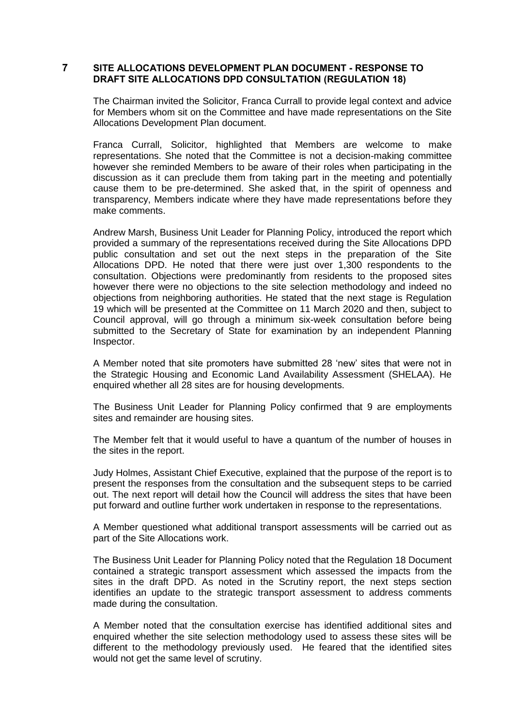# **7 SITE ALLOCATIONS DEVELOPMENT PLAN DOCUMENT - RESPONSE TO DRAFT SITE ALLOCATIONS DPD CONSULTATION (REGULATION 18)**

The Chairman invited the Solicitor, Franca Currall to provide legal context and advice for Members whom sit on the Committee and have made representations on the Site Allocations Development Plan document.

Franca Currall, Solicitor, highlighted that Members are welcome to make representations. She noted that the Committee is not a decision-making committee however she reminded Members to be aware of their roles when participating in the discussion as it can preclude them from taking part in the meeting and potentially cause them to be pre-determined. She asked that, in the spirit of openness and transparency, Members indicate where they have made representations before they make comments.

Andrew Marsh, Business Unit Leader for Planning Policy, introduced the report which provided a summary of the representations received during the Site Allocations DPD public consultation and set out the next steps in the preparation of the Site Allocations DPD. He noted that there were just over 1,300 respondents to the consultation. Objections were predominantly from residents to the proposed sites however there were no objections to the site selection methodology and indeed no objections from neighboring authorities. He stated that the next stage is Regulation 19 which will be presented at the Committee on 11 March 2020 and then, subject to Council approval, will go through a minimum six-week consultation before being submitted to the Secretary of State for examination by an independent Planning Inspector.

A Member noted that site promoters have submitted 28 'new' sites that were not in the Strategic Housing and Economic Land Availability Assessment (SHELAA). He enquired whether all 28 sites are for housing developments.

The Business Unit Leader for Planning Policy confirmed that 9 are employments sites and remainder are housing sites.

The Member felt that it would useful to have a quantum of the number of houses in the sites in the report.

Judy Holmes, Assistant Chief Executive, explained that the purpose of the report is to present the responses from the consultation and the subsequent steps to be carried out. The next report will detail how the Council will address the sites that have been put forward and outline further work undertaken in response to the representations.

A Member questioned what additional transport assessments will be carried out as part of the Site Allocations work.

The Business Unit Leader for Planning Policy noted that the Regulation 18 Document contained a strategic transport assessment which assessed the impacts from the sites in the draft DPD. As noted in the Scrutiny report, the next steps section identifies an update to the strategic transport assessment to address comments made during the consultation.

A Member noted that the consultation exercise has identified additional sites and enquired whether the site selection methodology used to assess these sites will be different to the methodology previously used. He feared that the identified sites would not get the same level of scrutiny.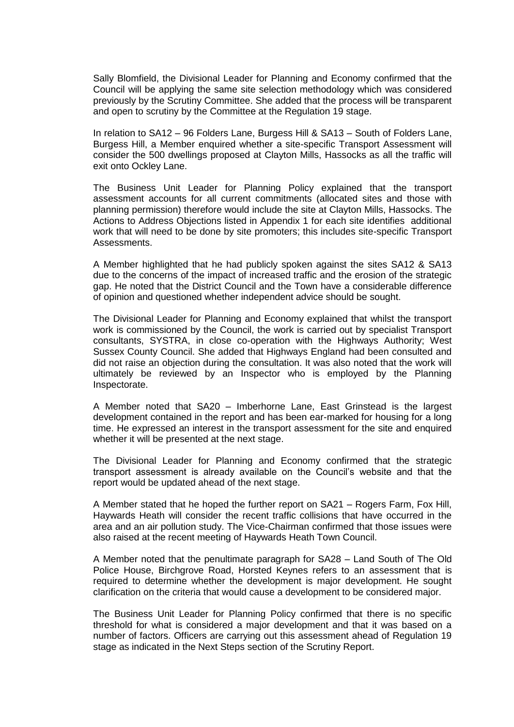Sally Blomfield, the Divisional Leader for Planning and Economy confirmed that the Council will be applying the same site selection methodology which was considered previously by the Scrutiny Committee. She added that the process will be transparent and open to scrutiny by the Committee at the Regulation 19 stage.

In relation to SA12 – 96 Folders Lane, Burgess Hill & SA13 – South of Folders Lane, Burgess Hill, a Member enquired whether a site-specific Transport Assessment will consider the 500 dwellings proposed at Clayton Mills, Hassocks as all the traffic will exit onto Ockley Lane.

The Business Unit Leader for Planning Policy explained that the transport assessment accounts for all current commitments (allocated sites and those with planning permission) therefore would include the site at Clayton Mills, Hassocks. The Actions to Address Objections listed in Appendix 1 for each site identifies additional work that will need to be done by site promoters; this includes site-specific Transport Assessments.

A Member highlighted that he had publicly spoken against the sites SA12 & SA13 due to the concerns of the impact of increased traffic and the erosion of the strategic gap. He noted that the District Council and the Town have a considerable difference of opinion and questioned whether independent advice should be sought.

The Divisional Leader for Planning and Economy explained that whilst the transport work is commissioned by the Council, the work is carried out by specialist Transport consultants, SYSTRA, in close co-operation with the Highways Authority; West Sussex County Council. She added that Highways England had been consulted and did not raise an objection during the consultation. It was also noted that the work will ultimately be reviewed by an Inspector who is employed by the Planning Inspectorate.

A Member noted that SA20 – Imberhorne Lane, East Grinstead is the largest development contained in the report and has been ear-marked for housing for a long time. He expressed an interest in the transport assessment for the site and enquired whether it will be presented at the next stage.

The Divisional Leader for Planning and Economy confirmed that the strategic transport assessment is already available on the Council's website and that the report would be updated ahead of the next stage.

A Member stated that he hoped the further report on SA21 – Rogers Farm, Fox Hill, Haywards Heath will consider the recent traffic collisions that have occurred in the area and an air pollution study. The Vice-Chairman confirmed that those issues were also raised at the recent meeting of Haywards Heath Town Council.

A Member noted that the penultimate paragraph for SA28 – Land South of The Old Police House, Birchgrove Road, Horsted Keynes refers to an assessment that is required to determine whether the development is major development. He sought clarification on the criteria that would cause a development to be considered major.

The Business Unit Leader for Planning Policy confirmed that there is no specific threshold for what is considered a major development and that it was based on a number of factors. Officers are carrying out this assessment ahead of Regulation 19 stage as indicated in the Next Steps section of the Scrutiny Report.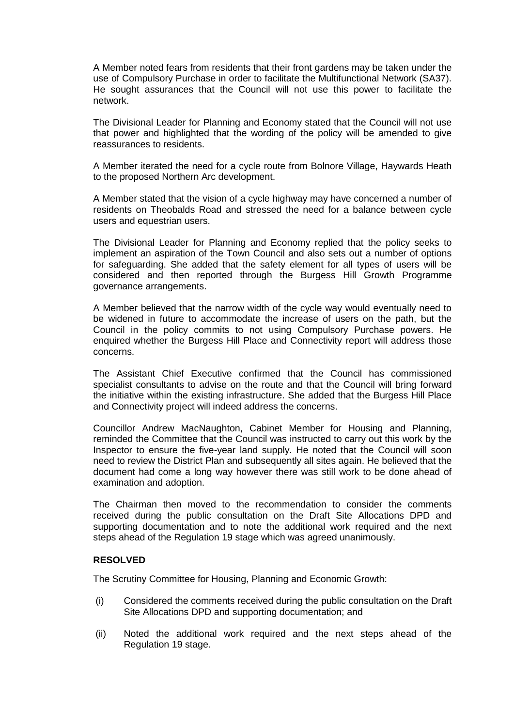A Member noted fears from residents that their front gardens may be taken under the use of Compulsory Purchase in order to facilitate the Multifunctional Network (SA37). He sought assurances that the Council will not use this power to facilitate the network.

The Divisional Leader for Planning and Economy stated that the Council will not use that power and highlighted that the wording of the policy will be amended to give reassurances to residents.

A Member iterated the need for a cycle route from Bolnore Village, Haywards Heath to the proposed Northern Arc development.

A Member stated that the vision of a cycle highway may have concerned a number of residents on Theobalds Road and stressed the need for a balance between cycle users and equestrian users.

The Divisional Leader for Planning and Economy replied that the policy seeks to implement an aspiration of the Town Council and also sets out a number of options for safeguarding. She added that the safety element for all types of users will be considered and then reported through the Burgess Hill Growth Programme governance arrangements.

A Member believed that the narrow width of the cycle way would eventually need to be widened in future to accommodate the increase of users on the path, but the Council in the policy commits to not using Compulsory Purchase powers. He enquired whether the Burgess Hill Place and Connectivity report will address those concerns.

The Assistant Chief Executive confirmed that the Council has commissioned specialist consultants to advise on the route and that the Council will bring forward the initiative within the existing infrastructure. She added that the Burgess Hill Place and Connectivity project will indeed address the concerns.

Councillor Andrew MacNaughton, Cabinet Member for Housing and Planning, reminded the Committee that the Council was instructed to carry out this work by the Inspector to ensure the five-year land supply. He noted that the Council will soon need to review the District Plan and subsequently all sites again. He believed that the document had come a long way however there was still work to be done ahead of examination and adoption.

The Chairman then moved to the recommendation to consider the comments received during the public consultation on the Draft Site Allocations DPD and supporting documentation and to note the additional work required and the next steps ahead of the Regulation 19 stage which was agreed unanimously.

#### **RESOLVED**

The Scrutiny Committee for Housing, Planning and Economic Growth:

- (i) Considered the comments received during the public consultation on the Draft Site Allocations DPD and supporting documentation; and
- (ii) Noted the additional work required and the next steps ahead of the Regulation 19 stage.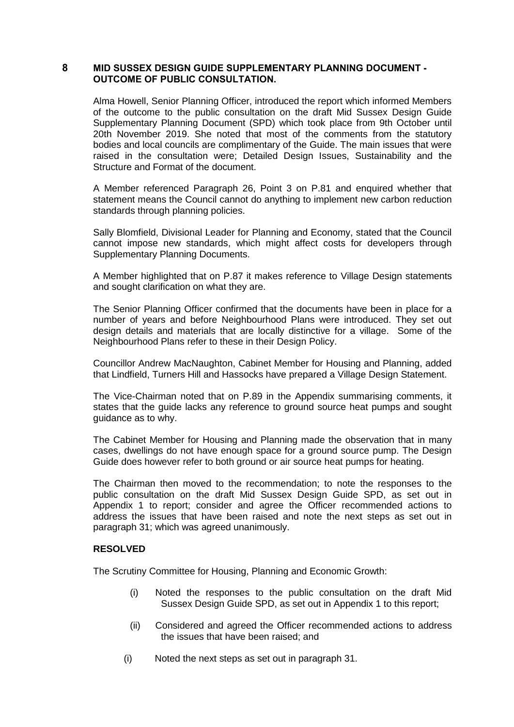## **8 MID SUSSEX DESIGN GUIDE SUPPLEMENTARY PLANNING DOCUMENT - OUTCOME OF PUBLIC CONSULTATION.**

Alma Howell, Senior Planning Officer, introduced the report which informed Members of the outcome to the public consultation on the draft Mid Sussex Design Guide Supplementary Planning Document (SPD) which took place from 9th October until 20th November 2019. She noted that most of the comments from the statutory bodies and local councils are complimentary of the Guide. The main issues that were raised in the consultation were; Detailed Design Issues, Sustainability and the Structure and Format of the document.

A Member referenced Paragraph 26, Point 3 on P.81 and enquired whether that statement means the Council cannot do anything to implement new carbon reduction standards through planning policies.

Sally Blomfield, Divisional Leader for Planning and Economy, stated that the Council cannot impose new standards, which might affect costs for developers through Supplementary Planning Documents.

A Member highlighted that on P.87 it makes reference to Village Design statements and sought clarification on what they are.

The Senior Planning Officer confirmed that the documents have been in place for a number of years and before Neighbourhood Plans were introduced. They set out design details and materials that are locally distinctive for a village. Some of the Neighbourhood Plans refer to these in their Design Policy.

Councillor Andrew MacNaughton, Cabinet Member for Housing and Planning, added that Lindfield, Turners Hill and Hassocks have prepared a Village Design Statement.

The Vice-Chairman noted that on P.89 in the Appendix summarising comments, it states that the guide lacks any reference to ground source heat pumps and sought guidance as to why.

The Cabinet Member for Housing and Planning made the observation that in many cases, dwellings do not have enough space for a ground source pump. The Design Guide does however refer to both ground or air source heat pumps for heating.

The Chairman then moved to the recommendation; to note the responses to the public consultation on the draft Mid Sussex Design Guide SPD, as set out in Appendix 1 to report; consider and agree the Officer recommended actions to address the issues that have been raised and note the next steps as set out in paragraph 31; which was agreed unanimously.

## **RESOLVED**

The Scrutiny Committee for Housing, Planning and Economic Growth:

- (i) Noted the responses to the public consultation on the draft Mid Sussex Design Guide SPD, as set out in Appendix 1 to this report;
- (ii) Considered and agreed the Officer recommended actions to address the issues that have been raised; and
- (i) Noted the next steps as set out in paragraph 31.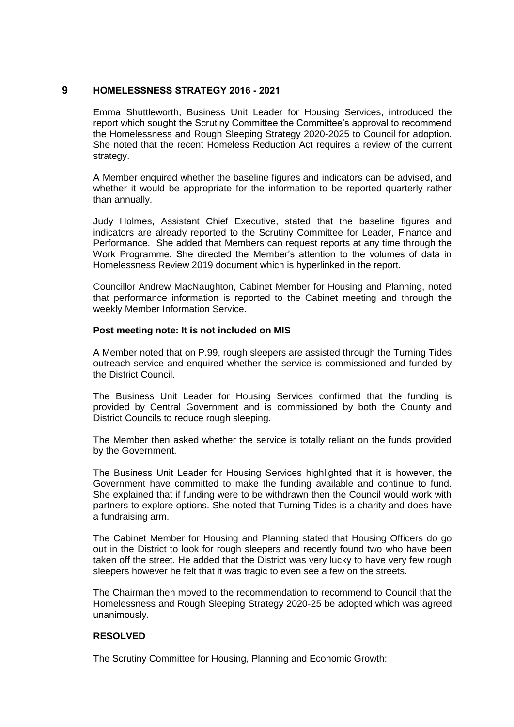## **9 HOMELESSNESS STRATEGY 2016 - 2021**

Emma Shuttleworth, Business Unit Leader for Housing Services, introduced the report which sought the Scrutiny Committee the Committee's approval to recommend the Homelessness and Rough Sleeping Strategy 2020-2025 to Council for adoption. She noted that the recent Homeless Reduction Act requires a review of the current strategy.

A Member enquired whether the baseline figures and indicators can be advised, and whether it would be appropriate for the information to be reported quarterly rather than annually.

Judy Holmes, Assistant Chief Executive, stated that the baseline figures and indicators are already reported to the Scrutiny Committee for Leader, Finance and Performance. She added that Members can request reports at any time through the Work Programme. She directed the Member's attention to the volumes of data in Homelessness Review 2019 document which is hyperlinked in the report.

Councillor Andrew MacNaughton, Cabinet Member for Housing and Planning, noted that performance information is reported to the Cabinet meeting and through the weekly Member Information Service.

## **Post meeting note: It is not included on MIS**

A Member noted that on P.99, rough sleepers are assisted through the Turning Tides outreach service and enquired whether the service is commissioned and funded by the District Council.

The Business Unit Leader for Housing Services confirmed that the funding is provided by Central Government and is commissioned by both the County and District Councils to reduce rough sleeping.

The Member then asked whether the service is totally reliant on the funds provided by the Government.

The Business Unit Leader for Housing Services highlighted that it is however, the Government have committed to make the funding available and continue to fund. She explained that if funding were to be withdrawn then the Council would work with partners to explore options. She noted that Turning Tides is a charity and does have a fundraising arm.

The Cabinet Member for Housing and Planning stated that Housing Officers do go out in the District to look for rough sleepers and recently found two who have been taken off the street. He added that the District was very lucky to have very few rough sleepers however he felt that it was tragic to even see a few on the streets.

The Chairman then moved to the recommendation to recommend to Council that the Homelessness and Rough Sleeping Strategy 2020-25 be adopted which was agreed unanimously.

# **RESOLVED**

The Scrutiny Committee for Housing, Planning and Economic Growth: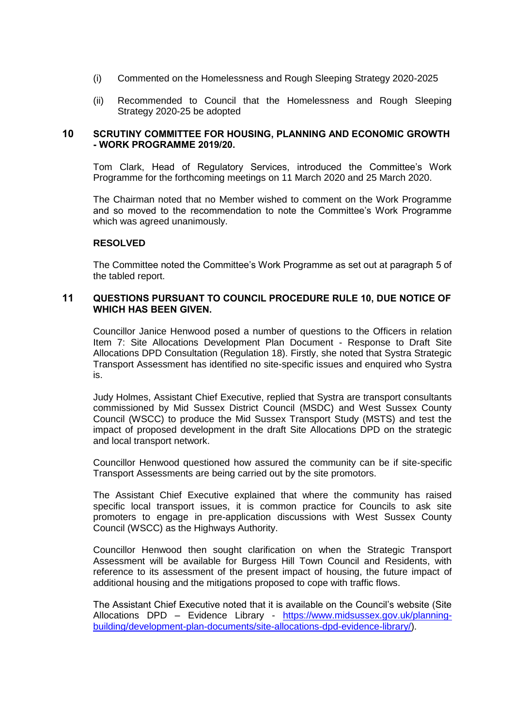- (i) Commented on the Homelessness and Rough Sleeping Strategy 2020-2025
- (ii) Recommended to Council that the Homelessness and Rough Sleeping Strategy 2020-25 be adopted

## **10 SCRUTINY COMMITTEE FOR HOUSING, PLANNING AND ECONOMIC GROWTH - WORK PROGRAMME 2019/20.**

Tom Clark, Head of Regulatory Services, introduced the Committee's Work Programme for the forthcoming meetings on 11 March 2020 and 25 March 2020.

The Chairman noted that no Member wished to comment on the Work Programme and so moved to the recommendation to note the Committee's Work Programme which was agreed unanimously.

## **RESOLVED**

The Committee noted the Committee's Work Programme as set out at paragraph 5 of the tabled report.

## **11 QUESTIONS PURSUANT TO COUNCIL PROCEDURE RULE 10, DUE NOTICE OF WHICH HAS BEEN GIVEN.**

Councillor Janice Henwood posed a number of questions to the Officers in relation Item 7: Site Allocations Development Plan Document - Response to Draft Site Allocations DPD Consultation (Regulation 18). Firstly, she noted that Systra Strategic Transport Assessment has identified no site-specific issues and enquired who Systra is.

Judy Holmes, Assistant Chief Executive, replied that Systra are transport consultants commissioned by Mid Sussex District Council (MSDC) and West Sussex County Council (WSCC) to produce the Mid Sussex Transport Study (MSTS) and test the impact of proposed development in the draft Site Allocations DPD on the strategic and local transport network.

Councillor Henwood questioned how assured the community can be if site-specific Transport Assessments are being carried out by the site promotors.

The Assistant Chief Executive explained that where the community has raised specific local transport issues, it is common practice for Councils to ask site promoters to engage in pre-application discussions with West Sussex County Council (WSCC) as the Highways Authority.

Councillor Henwood then sought clarification on when the Strategic Transport Assessment will be available for Burgess Hill Town Council and Residents, with reference to its assessment of the present impact of housing, the future impact of additional housing and the mitigations proposed to cope with traffic flows.

The Assistant Chief Executive noted that it is available on the Council's website (Site Allocations DPD – Evidence Library - [https://www.midsussex.gov.uk/planning](https://eur02.safelinks.protection.outlook.com/?url=https%3A%2F%2Fwww.midsussex.gov.uk%2Fplanning-building%2Fdevelopment-plan-documents%2Fsite-allocations-dpd-evidence-library%2F&data=02%7C01%7CJudy.Holmes%40midsussex.gov.uk%7C63357c0ee50c4fbecb5408d79f242580%7C248de4f9d13548cca4c8babd7e9e8703%7C0%7C0%7C637152849920420839&sdata=E8nXoq8avejm8azt9c15bU4Vh%2B3nGtiM6QKruie96kg%3D&reserved=0)[building/development-plan-documents/site-allocations-dpd-evidence-library/\)](https://eur02.safelinks.protection.outlook.com/?url=https%3A%2F%2Fwww.midsussex.gov.uk%2Fplanning-building%2Fdevelopment-plan-documents%2Fsite-allocations-dpd-evidence-library%2F&data=02%7C01%7CJudy.Holmes%40midsussex.gov.uk%7C63357c0ee50c4fbecb5408d79f242580%7C248de4f9d13548cca4c8babd7e9e8703%7C0%7C0%7C637152849920420839&sdata=E8nXoq8avejm8azt9c15bU4Vh%2B3nGtiM6QKruie96kg%3D&reserved=0).